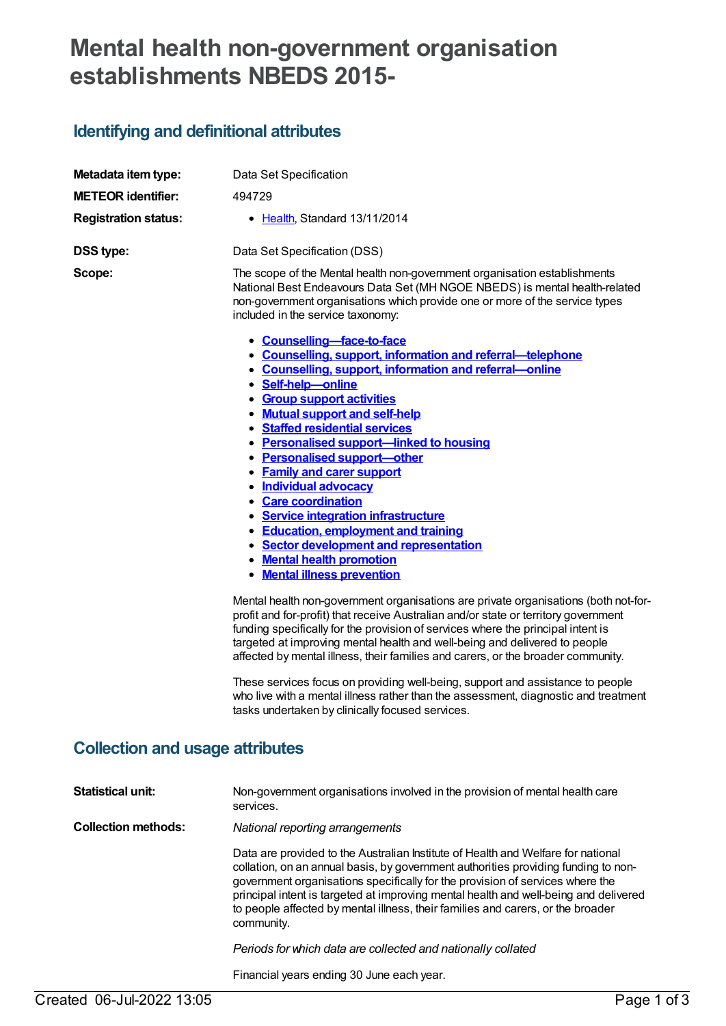## **Mental health non-government organisation establishments NBEDS 2015-**

## **Identifying and definitional attributes**

| Metadata item type:                    | Data Set Specification                                                                                                                                                                                                                                                                                                                                                                                                                                                                                                                                                                                                                                                                                                                                                                                                                                                                                      |
|----------------------------------------|-------------------------------------------------------------------------------------------------------------------------------------------------------------------------------------------------------------------------------------------------------------------------------------------------------------------------------------------------------------------------------------------------------------------------------------------------------------------------------------------------------------------------------------------------------------------------------------------------------------------------------------------------------------------------------------------------------------------------------------------------------------------------------------------------------------------------------------------------------------------------------------------------------------|
| <b>METEOR identifier:</b>              | 494729                                                                                                                                                                                                                                                                                                                                                                                                                                                                                                                                                                                                                                                                                                                                                                                                                                                                                                      |
| <b>Registration status:</b>            | • Health, Standard 13/11/2014                                                                                                                                                                                                                                                                                                                                                                                                                                                                                                                                                                                                                                                                                                                                                                                                                                                                               |
| <b>DSS type:</b>                       | Data Set Specification (DSS)                                                                                                                                                                                                                                                                                                                                                                                                                                                                                                                                                                                                                                                                                                                                                                                                                                                                                |
| Scope:                                 | The scope of the Mental health non-government organisation establishments<br>National Best Endeavours Data Set (MH NGOE NBEDS) is mental health-related<br>non-government organisations which provide one or more of the service types<br>included in the service taxonomy:<br>• Counselling-face-to-face<br>• Counselling, support, information and referral-telephone<br>• Counselling, support, information and referral-online<br>· Self-help-online<br>• Group support activities<br>• Mutual support and self-help<br>• Staffed residential services<br>• Personalised support-linked to housing<br>• Personalised support-other<br>• Family and carer support<br>· Individual advocacy<br>• Care coordination<br>• Service integration infrastructure<br>• Education, employment and training<br>• Sector development and representation<br>• Mental health promotion<br>• Mental illness prevention |
|                                        | Mental health non-government organisations are private organisations (both not-for-<br>profit and for-profit) that receive Australian and/or state or territory government<br>funding specifically for the provision of services where the principal intent is<br>targeted at improving mental health and well-being and delivered to people<br>affected by mental illness, their families and carers, or the broader community.<br>These services focus on providing well-being, support and assistance to people<br>who live with a mental illness rather than the assessment, diagnostic and treatment<br>tasks undertaken by clinically focused services.                                                                                                                                                                                                                                               |
| <b>Collection and usage attributes</b> |                                                                                                                                                                                                                                                                                                                                                                                                                                                                                                                                                                                                                                                                                                                                                                                                                                                                                                             |
| <b>Statistical unit:</b>               | Non-government organisations involved in the provision of mental health care<br>services.                                                                                                                                                                                                                                                                                                                                                                                                                                                                                                                                                                                                                                                                                                                                                                                                                   |
| <b>Collection methods:</b>             | National reporting arrangements                                                                                                                                                                                                                                                                                                                                                                                                                                                                                                                                                                                                                                                                                                                                                                                                                                                                             |
|                                        | Data are provided to the Australian Institute of Health and Welfare for national<br>collation, on an annual basis, by government authorities providing funding to non-<br>government organisations specifically for the provision of services where the<br>principal intent is targeted at improving mental health and well-being and delivered<br>to people affected by mental illness, their families and carers, or the broader<br>community.                                                                                                                                                                                                                                                                                                                                                                                                                                                            |
|                                        | Periods for which data are collected and nationally collated                                                                                                                                                                                                                                                                                                                                                                                                                                                                                                                                                                                                                                                                                                                                                                                                                                                |
|                                        | Financial years ending 30 June each year.                                                                                                                                                                                                                                                                                                                                                                                                                                                                                                                                                                                                                                                                                                                                                                                                                                                                   |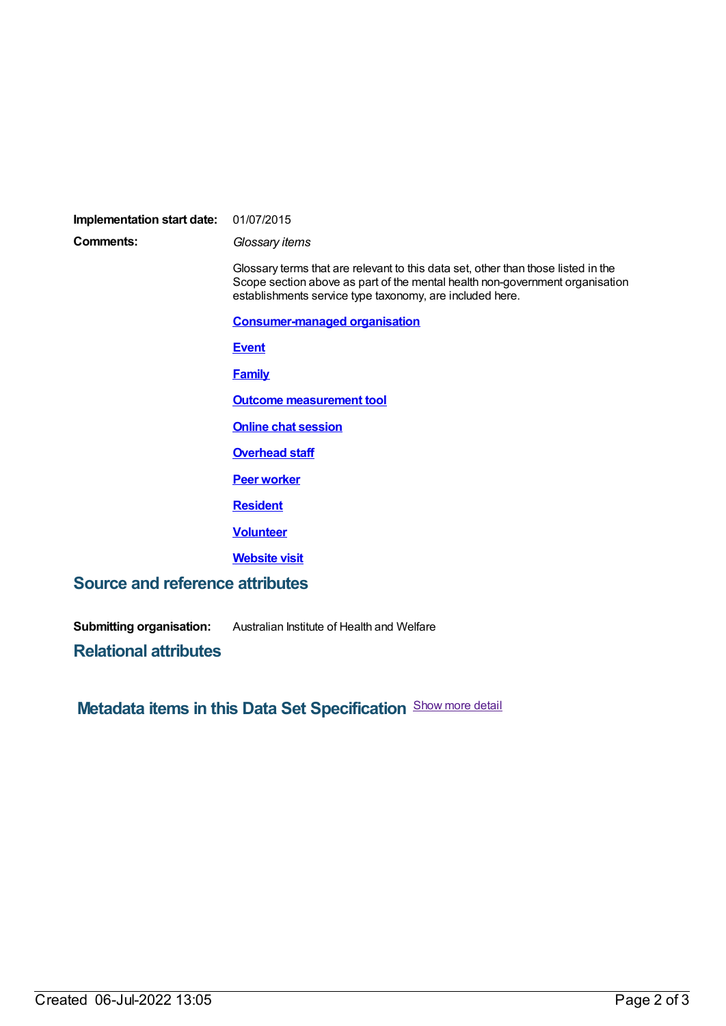## **Implementation start date:** 01/07/2015

**Comments:** *Glossary items*

Glossary terms that are relevant to this data set, other than those listed in the Scope section above as part of the mental health non-government organisation establishments service type taxonomy, are included here.

**[Consumer-managed](https://meteor.aihw.gov.au/content/516197) organisation**

**[Event](https://meteor.aihw.gov.au/content/517461)**

**[Family](https://meteor.aihw.gov.au/content/351499)**

**Outcome [measurement](https://meteor.aihw.gov.au/content/482613) tool**

**Online chat [session](https://meteor.aihw.gov.au/content/518931)**

**[Overhead](https://meteor.aihw.gov.au/content/481223) staff**

**Peer [worker](https://meteor.aihw.gov.au/content/481073)**

**[Resident](https://meteor.aihw.gov.au/content/524972)**

**[Volunteer](https://meteor.aihw.gov.au/content/327272)**

**[Website](https://meteor.aihw.gov.au/content/497337) visit**

## **Source and reference attributes**

**Submitting organisation:** Australian Institute of Health and Welfare

**Relational attributes**

**Metadata items in this Data Set Specification** Show more detail